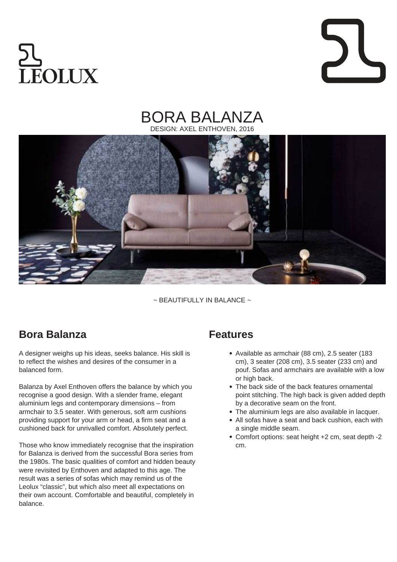# **EOLUX**

#### BORA BALANZA DESIGN: AXEL ENTHOVEN, 2016



 $\sim$  BEAUTIFULLY IN BALANCE  $\sim$ 

### **Bora Balanza**

A designer weighs up his ideas, seeks balance. His skill is to reflect the wishes and desires of the consumer in a balanced form.

Balanza by Axel Enthoven offers the balance by which you recognise a good design. With a slender frame, elegant aluminium legs and contemporary dimensions – from armchair to 3.5 seater. With generous, soft arm cushions providing support for your arm or head, a firm seat and a cushioned back for unrivalled comfort. Absolutely perfect.

Those who know immediately recognise that the inspiration for Balanza is derived from the successful Bora series from the 1980s. The basic qualities of comfort and hidden beauty were revisited by Enthoven and adapted to this age. The result was a series of sofas which may remind us of the Leolux "classic", but which also meet all expectations on their own account. Comfortable and beautiful, completely in balance.

#### **Features**

- Available as armchair (88 cm), 2.5 seater (183 cm), 3 seater (208 cm), 3.5 seater (233 cm) and pouf. Sofas and armchairs are available with a low or high back.
- The back side of the back features ornamental point stitching. The high back is given added depth by a decorative seam on the front.
- The aluminium legs are also available in lacquer.
- All sofas have a seat and back cushion, each with a single middle seam.
- Comfort options: seat height +2 cm, seat depth -2 cm.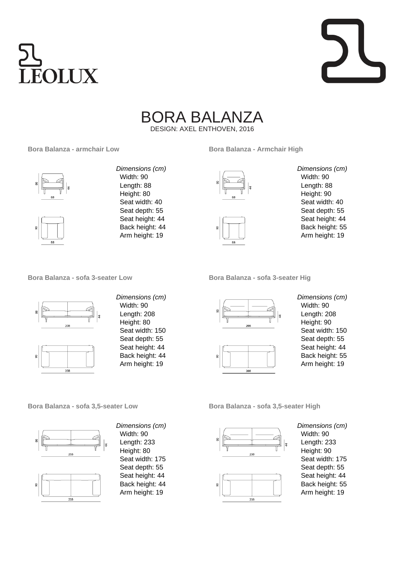



## BORA BALANZA

DESIGN: AXEL ENTHOVEN, 2016

#### **Bora Balanza - armchair Low**





Dimensions (cm) Width: 90 Length: 88 Height: 80 Seat width: 40 Seat depth: 55 Seat height: 44 Back height: 44 Arm height: 19





Length: 88 Height: 90 Seat width: 40 Seat depth: 55 Seat height: 44 Back height: 55 Arm height: 19

Dimensions (cm) Width: 90

**Bora Balanza - sofa 3-seater Low**





Dimensions (cm) Width: 90 Length: 208 Height: 80 Seat width: 150 Seat depth: 55 Seat height: 44 Back height: 44 Arm height: 19

**Bora Balanza - sofa 3-seater Hig**





Dimensions (cm) Width: 90 Length: 208 Height: 90 Seat width: 150 Seat depth: 55 Seat height: 44 Back height: 55 Arm height: 19

**Bora Balanza - sofa 3,5-seater Low**





Dimensions (cm) Width: 90 Length: 233 Height: 80 Seat width: 175 Seat depth: 55 Seat height: 44 Back height: 44 Arm height: 19

**Bora Balanza - sofa 3,5-seater High**





Dimensions (cm) Width: 90 Length: 233 Height: 90 Seat width: 175 Seat depth: 55 Seat height: 44 Back height: 55 Arm height: 19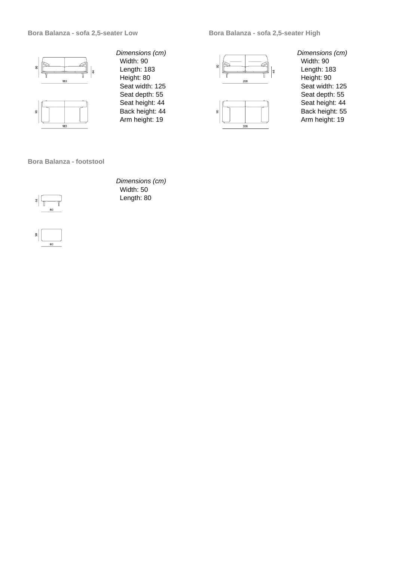#### **Bora Balanza - sofa 2,5-seater Low**

**Bora Balanza - sofa 2,5-seater High**





Dimensions (cm) Width: 90 Length: 183 Height: 80 Seat width: 125 Seat depth: 55 Seat height: 44 Back height: 44 Arm height: 19





Dimensions (cm) Width: 90 Length: 183 Height: 90 Seat width: 125 Seat depth: 55 Seat height: 44 Back height: 55 Arm height: 19

**Bora Balanza - footstool**



Dimensions (cm) Width: 50 Length: 80